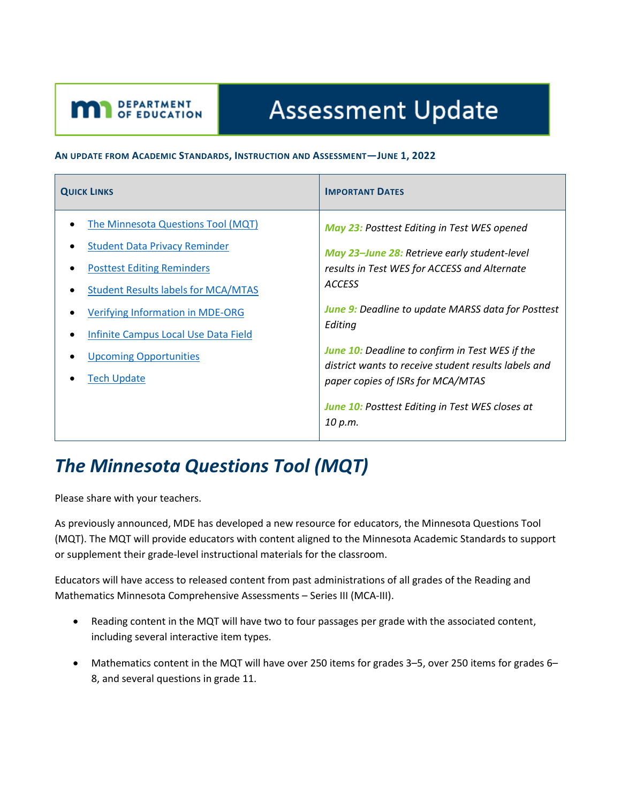# **Assessment Update**

#### **AN UPDATE FROM ACADEMIC STANDARDS, INSTRUCTION AND ASSESSMENT—JUNE 1, 2022**

| <b>QUICK LINKS</b>                         | <b>IMPORTANT DATES</b>                                                                    |
|--------------------------------------------|-------------------------------------------------------------------------------------------|
| The Minnesota Questions Tool (MQT)         | <b>May 23: Posttest Editing in Test WES opened</b>                                        |
| <b>Student Data Privacy Reminder</b>       | May 23-June 28: Retrieve early student-level                                              |
| <b>Posttest Editing Reminders</b>          | results in Test WES for ACCESS and Alternate<br><b>ACCESS</b>                             |
| <b>Student Results labels for MCA/MTAS</b> |                                                                                           |
| <b>Verifying Information in MDE-ORG</b>    | <b>June 9:</b> Deadline to update MARSS data for Posttest                                 |
| Infinite Campus Local Use Data Field       | Editing                                                                                   |
| <b>Upcoming Opportunities</b>              | <b>June 10:</b> Deadline to confirm in Test WES if the                                    |
| <b>Tech Update</b>                         | district wants to receive student results labels and<br>paper copies of ISRs for MCA/MTAS |
|                                            | <b>June 10: Posttest Editing in Test WES closes at</b><br>10 p.m.                         |

### <span id="page-0-0"></span>*The Minnesota Questions Tool (MQT)*

Please share with your teachers.

<span id="page-0-1"></span>DEPARTMENT

As previously announced, MDE has developed a new resource for educators, the Minnesota Questions Tool (MQT). The MQT will provide educators with content aligned to the Minnesota Academic Standards to support or supplement their grade-level instructional materials for the classroom.

Educators will have access to released content from past administrations of all grades of the Reading and Mathematics Minnesota Comprehensive Assessments – Series III (MCA-III).

- Reading content in the MQT will have two to four passages per grade with the associated content, including several interactive item types.
- Mathematics content in the MQT will have over 250 items for grades 3–5, over 250 items for grades 6– 8, and several questions in grade 11.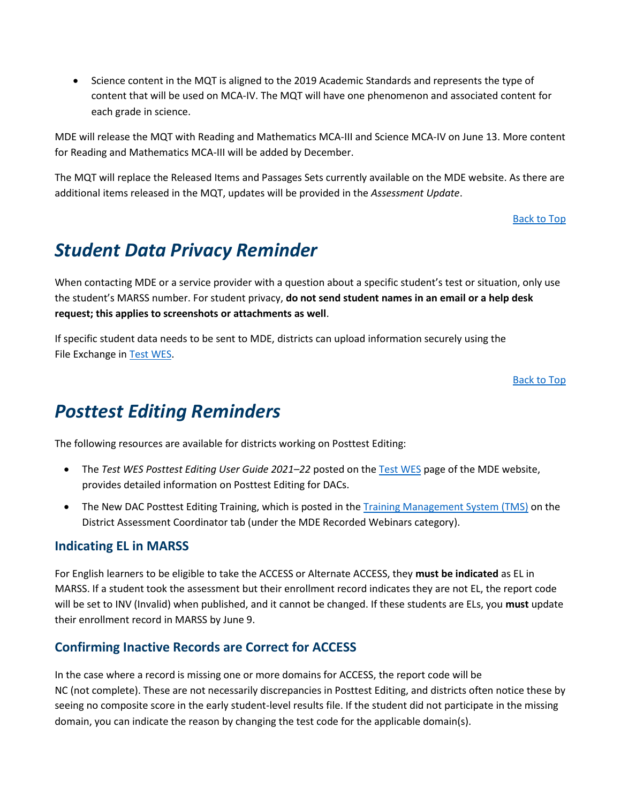• Science content in the MQT is aligned to the 2019 Academic Standards and represents the type of content that will be used on MCA-IV. The MQT will have one phenomenon and associated content for each grade in science.

MDE will release the MQT with Reading and Mathematics MCA-III and Science MCA-IV on June 13. More content for Reading and Mathematics MCA-III will be added by December.

The MQT will replace the Released Items and Passages Sets currently available on the MDE website. As there are additional items released in the MQT, updates will be provided in the *Assessment Update*.

[Back to Top](#page-0-1)

### <span id="page-1-0"></span>*Student Data Privacy Reminder*

When contacting MDE or a service provider with a question about a specific student's test or situation, only use the student's MARSS number. For student privacy, **do not send student names in an email or a help desk request; this applies to screenshots or attachments as well**.

If specific student data needs to be sent to MDE, districts can upload information securely using the File Exchange in Test [WES.](https://education.mn.gov/MDE/dse/datasub/TestWES/)

[Back to Top](#page-0-1)

### <span id="page-1-1"></span>*Posttest Editing Reminders*

The following resources are available for districts working on Posttest Editing:

- The *Test WES Posttest Editing User Guide 2021–22* posted on th[e Test](https://education.mn.gov/MDE/dse/datasub/TestWES/) WES page of the MDE website, provides detailed information on Posttest Editing for DACs.
- The New DAC Posttest Editing Training, which is posted in the [Training Management System \(TMS\)](http://minnesota.pearsonaccessnext.com/training/) on the District Assessment Coordinator tab (under the MDE Recorded Webinars category).

#### **Indicating EL in MARSS**

For English learners to be eligible to take the ACCESS or Alternate ACCESS, they **must be indicated** as EL in MARSS. If a student took the assessment but their enrollment record indicates they are not EL, the report code will be set to INV (Invalid) when published, and it cannot be changed. If these students are ELs, you **must** update their enrollment record in MARSS by June 9.

#### **Confirming Inactive Records are Correct for ACCESS**

In the case where a record is missing one or more domains for ACCESS, the report code will be NC (not complete). These are not necessarily discrepancies in Posttest Editing, and districts often notice these by seeing no composite score in the early student-level results file. If the student did not participate in the missing domain, you can indicate the reason by changing the test code for the applicable domain(s).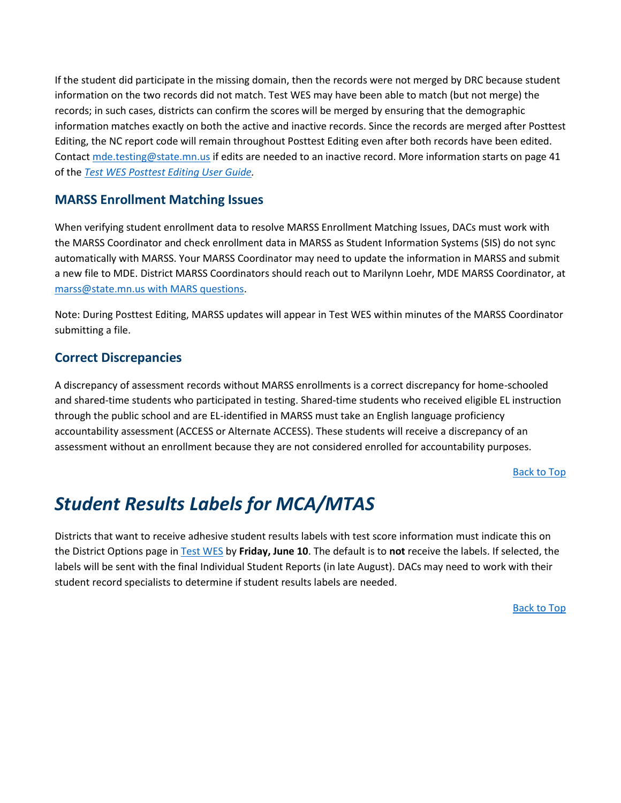If the student did participate in the missing domain, then the records were not merged by DRC because student information on the two records did not match. Test WES may have been able to match (but not merge) the records; in such cases, districts can confirm the scores will be merged by ensuring that the demographic information matches exactly on both the active and inactive records. Since the records are merged after Posttest Editing, the NC report code will remain throughout Posttest Editing even after both records have been edited. Contact [mde.testing@state.mn.us](mailto:mde.testing@state.mn.us) if edits are needed to an inactive record. More information starts on page 41 of the *Test WES [Posttest Editing User Guide.](https://education.mn.gov/MDE/dse/datasub/TestWES/)*

#### **MARSS Enrollment Matching Issues**

When verifying student enrollment data to resolve MARSS Enrollment Matching Issues, DACs must work with the MARSS Coordinator and check enrollment data in MARSS as Student Information Systems (SIS) do not sync automatically with MARSS. Your MARSS Coordinator may need to update the information in MARSS and submit a new file to MDE. District MARSS Coordinators should reach out to Marilynn Loehr, MDE MARSS Coordinator, at [marss@state.mn.us](mailto:marss@state.mn.us) with MARS questions.

Note: During Posttest Editing, MARSS updates will appear in Test WES within minutes of the MARSS Coordinator submitting a file.

#### **Correct Discrepancies**

A discrepancy of assessment records without MARSS enrollments is a correct discrepancy for home-schooled and shared-time students who participated in testing. Shared-time students who received eligible EL instruction through the public school and are EL-identified in MARSS must take an English language proficiency accountability assessment (ACCESS or Alternate ACCESS). These students will receive a discrepancy of an assessment without an enrollment because they are not considered enrolled for accountability purposes.

[Back to Top](#page-0-1)

### <span id="page-2-0"></span>*Student Results Labels for MCA/MTAS*

Districts that want to receive adhesive student results labels with test score information must indicate this on the District Options page i[n Test WES](https://education.mn.gov/MDE/dse/datasub/TestWES/) by **Friday, June 10**. The default is to **not** receive the labels. If selected, the labels will be sent with the final Individual Student Reports (in late August). DACs may need to work with their student record specialists to determine if student results labels are needed.

[Back to Top](#page-0-1)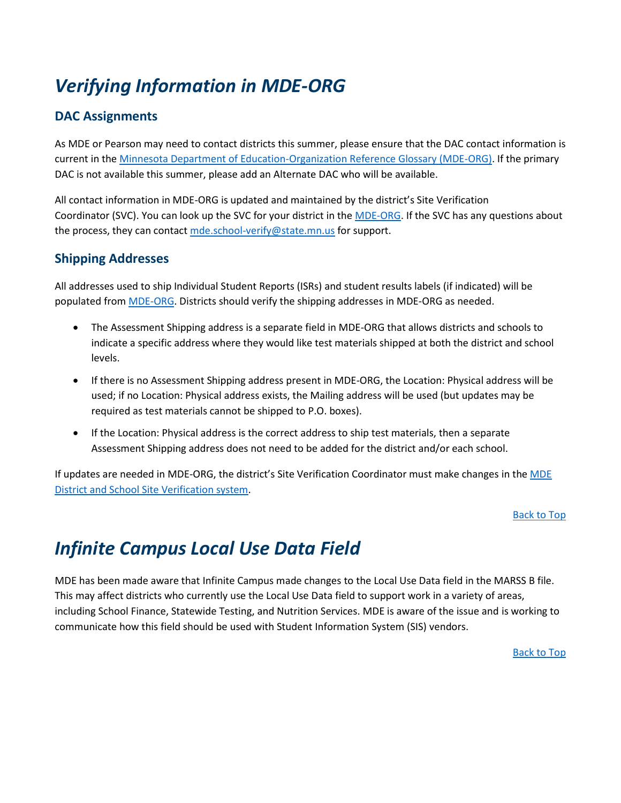# <span id="page-3-0"></span>*Verifying Information in MDE-ORG*

### **DAC Assignments**

As MDE or Pearson may need to contact districts this summer, please ensure that the DAC contact information is current in th[e Minnesota Department of Education-Organization Reference Glossary \(MDE-ORG\).](http://w20.education.state.mn.us/MdeOrgView/) If the primary DAC is not available this summer, please add an Alternate DAC who will be available.

All contact information in MDE-ORG is updated and maintained by the district's Site Verification Coordinator (SVC). You can look up the SVC for your district in the [MDE-ORG.](mailto:MDE-ORG) If the SVC has any questions about the process, they can contact [mde.school-verify@state.mn.us](mailto:mde.school-verify@state.mn.us) for support.

### **Shipping Addresses**

All addresses used to ship Individual Student Reports (ISRs) and student results labels (if indicated) will be populated fro[m MDE-ORG.](https://education.mn.gov/MDE/about/SchOrg/) Districts should verify the shipping addresses in MDE-ORG as needed.

- The Assessment Shipping address is a separate field in MDE-ORG that allows districts and schools to indicate a specific address where they would like test materials shipped at both the district and school levels.
- If there is no Assessment Shipping address present in MDE-ORG, the Location: Physical address will be used; if no Location: Physical address exists, the Mailing address will be used (but updates may be required as test materials cannot be shipped to P.O. boxes).
- If the Location: Physical address is the correct address to ship test materials, then a separate Assessment Shipping address does not need to be added for the district and/or each school.

If updates are needed in MDE-ORG, the district's Site Verification Coordinator must make changes in the MDE [District and School Site Verification system.](https://education.mn.gov/MDE/dse/datasub/SiteVerif/)

#### [Back to Top](#page-0-1)

### <span id="page-3-1"></span>*Infinite Campus Local Use Data Field*

MDE has been made aware that Infinite Campus made changes to the Local Use Data field in the MARSS B file. This may affect districts who currently use the Local Use Data field to support work in a variety of areas, including School Finance, Statewide Testing, and Nutrition Services. MDE is aware of the issue and is working to communicate how this field should be used with Student Information System (SIS) vendors.

[Back to Top](#page-0-1)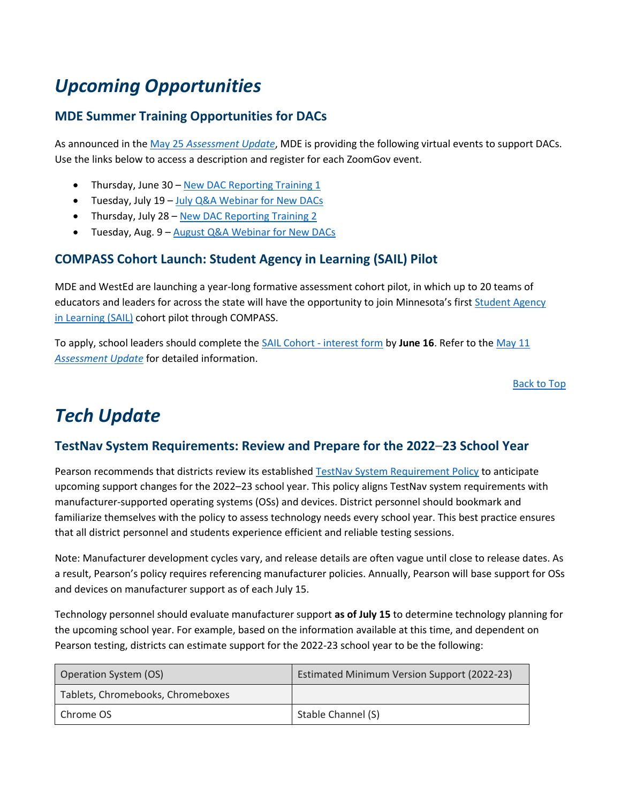## <span id="page-4-0"></span>*Upcoming Opportunities*

### **MDE Summer Training Opportunities for DACs**

As announced in the May 25 *[Assessment Update](http://minnesota.pearsonaccessnext.com/mde-updates/assessment-update/)*, MDE is providing the following virtual events to support DACs. Use the links below to access a description and register for each ZoomGov event.

- Thursday, June 30 [New DAC Reporting Training 1](https://www.zoomgov.com/meeting/register/vJIsce2uqjspExM2kjnLN1Zh_2YAX4_4PnA)
- Tuesday, July 19 [July Q&A Webinar for New DACs](https://www.zoomgov.com/meeting/register/vJIsdOugpzsjHiFiix6PJ_2Kqe82edMUAr4)
- Thursday, July 28 [New DAC Reporting Training 2](https://www.zoomgov.com/meeting/register/vJItc-qorjosHXlcX5lefT1tgRvLQVESavE)
- Tuesday, Aug. 9 [August Q&A Webinar for New DACs](https://www.zoomgov.com/meeting/register/vJItf-2vqzwpEkYwU0eBHY-CmrYTJ4fGh4o)

#### **COMPASS Cohort Launch: Student Agency in Learning (SAIL) Pilot**

MDE and WestEd are launching a year-long formative assessment cohort pilot, in which up to 20 teams of educators and leaders for across the state will have the opportunity to join Minnesota's first [Student Agency](https://csaa.wested.org/service/student-agency-in-learning-sail-course/)  in [Learning](https://csaa.wested.org/service/student-agency-in-learning-sail-course/) (SAIL) cohort pilot through COMPASS.

To apply, school leaders should complete the [SAIL Cohort -](https://docs.google.com/forms/d/e/1FAIpQLSfUfY6OcLZ0VglNmIWPOasEMLtv1pLAYv2B63uc2dssvE2YWw/viewform) interest form by **June 16**. Refer to the [May 11](http://minnesota.pearsonaccessnext.com/mde-updates/assessment-update/)  *[Assessment Update](http://minnesota.pearsonaccessnext.com/mde-updates/assessment-update/)* for detailed information.

[Back to Top](#page-0-1)

### <span id="page-4-1"></span>*Tech Update*

#### **TestNav System Requirements: Review and Prepare for the 2022–23 School Year**

Pearson recommends that districts review its established [TestNav System Requirement Policy](https://support.assessment.pearson.com/TN/testnav-system-requirement-policy-32838706.html) to anticipate upcoming support changes for the 2022–23 school year. This policy aligns TestNav system requirements with manufacturer-supported operating systems (OSs) and devices. District personnel should bookmark and familiarize themselves with the policy to assess technology needs every school year. This best practice ensures that all district personnel and students experience efficient and reliable testing sessions.

Note: Manufacturer development cycles vary, and release details are often vague until close to release dates. As a result, Pearson's policy requires referencing manufacturer policies. Annually, Pearson will base support for OSs and devices on manufacturer support as of each July 15.

Technology personnel should evaluate manufacturer support **as of July 15** to determine technology planning for the upcoming school year. For example, based on the information available at this time, and dependent on Pearson testing, districts can estimate support for the 2022-23 school year to be the following:

| <b>Operation System (OS)</b>      | <b>Estimated Minimum Version Support (2022-23)</b> |
|-----------------------------------|----------------------------------------------------|
| Tablets, Chromebooks, Chromeboxes |                                                    |
| Chrome OS                         | Stable Channel (S)                                 |